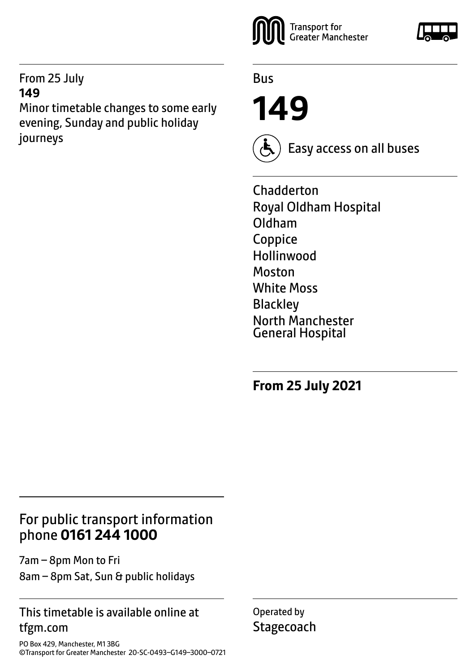#### From 25 July **149**

Minor timetable changes to some early evening, Sunday and public holiday journeys



Bus

**149**



Easy access on all buses

Chadderton Royal Oldham Hospital Oldham Coppice Hollinwood Moston White Moss **Blackley** North Manchester General Hospital

**From 25 July 2021**

## For public transport information phone **0161 244 1000**

7am – 8pm Mon to Fri 8am – 8pm Sat, Sun & public holidays

#### This timetable is available online at tfgm.com

PO Box 429, Manchester, M1 3BG ©Transport for Greater Manchester 20-SC-0493–G149–3000–0721 Operated by **Stagecoach**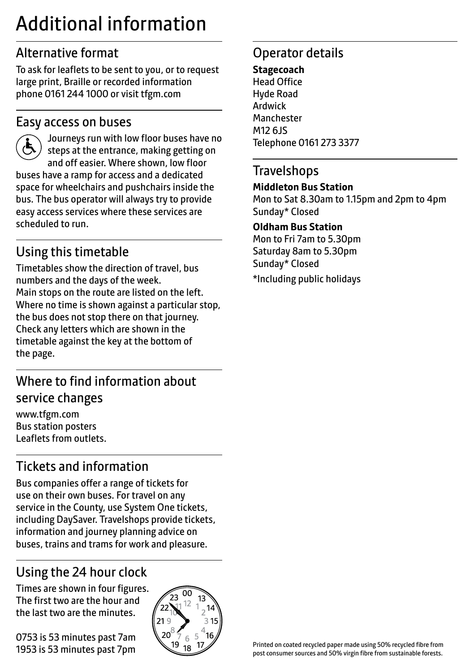# Additional information

# Alternative format

To ask for leaflets to be sent to you, or to request large print, Braille or recorded information phone 0161 244 1000 or visit tfgm.com

#### Easy access on buses



 Journeys run with low floor buses have no steps at the entrance, making getting on and off easier. Where shown, low floor buses have a ramp for access and a dedicated space for wheelchairs and pushchairs inside the bus. The bus operator will always try to provide easy access services where these services are scheduled to run.

# Using this timetable

Timetables show the direction of travel, bus numbers and the days of the week. Main stops on the route are listed on the left. Where no time is shown against a particular stop, the bus does not stop there on that journey. Check any letters which are shown in the timetable against the key at the bottom of the page.

# Where to find information about service changes

www.tfgm.com Bus station posters Leaflets from outlets.

# Tickets and information

Bus companies offer a range of tickets for use on their own buses. For travel on any service in the County, use System One tickets, including DaySaver. Travelshops provide tickets, information and journey planning advice on buses, trains and trams for work and pleasure.

# Using the 24 hour clock

Times are shown in four figures. The first two are the hour and the last two are the minutes.

0753 is 53 minutes past 7am 1953 is 53 minutes past 7pm



# Operator details

#### **Stagecoach** Head Office

Hyde Road Ardwick **Manchester** M12 6JS Telephone 0161 273 3377

#### **Travelshops**

#### **Middleton Bus Station**

Mon to Sat 8.30am to 1.15pm and 2pm to 4pm Sunday\* Closed

#### **Oldham Bus Station**

Mon to Fri 7am to 5.30pm Saturday 8am to 5.30pm Sunday\* Closed

\*Including public holidays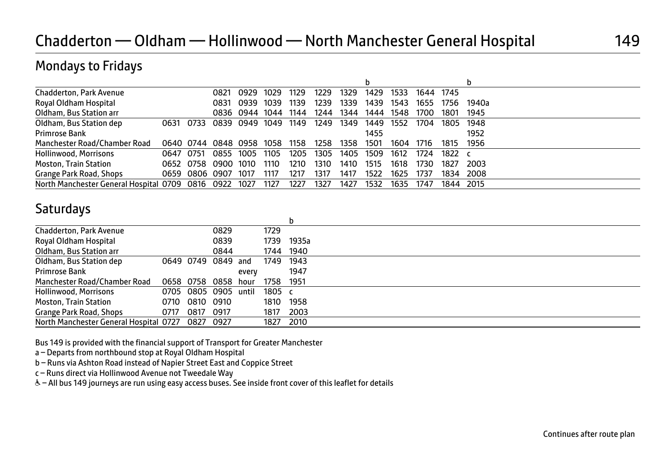#### Mondays to Fridays

| Chadderton, Park Avenue                          |      |                | 0821                | 0929           | 1029 | 1129 | 1229 | 1329 | 1429 | 1533 | 1644 1745 |          |           |
|--------------------------------------------------|------|----------------|---------------------|----------------|------|------|------|------|------|------|-----------|----------|-----------|
| Royal Oldham Hospital                            |      |                | 0831                | 0939           | 1039 | 1139 | 1239 | 1339 | 1439 | 1543 | 1655      | 1756     | 1940a     |
| Oldham, Bus Station arr                          |      |                |                     | 0836 0944      | 1044 | 1144 | 1244 | 1344 | 1444 | 1548 | 1700      | 1801     | 1945      |
| Oldham, Bus Station dep                          | 0631 | 0733           |                     | 0839 0949 1049 |      | 1149 | 1249 | 1349 | 1449 | 1552 | 1704      | 1805     | 1948      |
| Primrose Bank                                    |      |                |                     |                |      |      |      |      | 1455 |      |           |          | 1952      |
| Manchester Road/Chamber Road                     |      |                | 0640 0744 0848 0958 |                | 1058 | 1158 | 1258 | 1358 | 1501 | 1604 | 1716      | 1815     | 1956      |
| Hollinwood, Morrisons                            | 0647 | 0751           | 0855 1005           |                | 1105 | 1205 | 1305 | 1405 | 1509 | 1612 | 1724      | 1822 $c$ |           |
| <b>Moston, Train Station</b>                     |      |                | 0652 0758 0900 1010 |                | 1110 | 1210 | 1310 | 1410 | 1515 | 1618 | 1730      | 1827     | 2003      |
| Grange Park Road, Shops                          |      | 0659 0806 0907 |                     | 1017           | 1117 | 1217 | 1317 | 1417 | 1522 | 1625 | 1737      | 1834     | 2008      |
| North Manchester General Hospital 0709 0816 0922 |      |                |                     | 1027           | 1127 | 1227 | 1327 | 1427 | 1532 | 1635 | 1747      |          | 1844 2015 |

#### **Saturdays**

| Chadderton, Park Avenue                |      |                | 0829                 |       | 1729      |           |  |
|----------------------------------------|------|----------------|----------------------|-------|-----------|-----------|--|
| Royal Oldham Hospital                  |      |                | 0839                 |       | 1739      | 1935a     |  |
| Oldham, Bus Station arr                |      |                | 0844                 |       |           | 1744 1940 |  |
| Oldham, Bus Station dep                |      |                | 0649 0749 0849 and   |       | 1749 1943 |           |  |
| Primrose Bank                          |      |                |                      | every |           | 1947      |  |
| Manchester Road/Chamber Road           |      |                | 0658 0758 0858       | hour  | 1758      | 1951      |  |
| Hollinwood, Morrisons                  |      |                | 0705 0805 0905 until |       | 1805 c    |           |  |
| <b>Moston, Train Station</b>           |      | 0710 0810 0910 |                      |       | 1810      | 1958      |  |
| Grange Park Road, Shops                | 0717 | 0817 0917      |                      |       | 1817      | 2003      |  |
| North Manchester General Hospital 0727 |      | 0827 0927      |                      |       | 1827      | 2010      |  |
|                                        |      |                |                      |       |           |           |  |

Bus 149 is provided with the financial support of Transport for Greater Manchester

a – Departs from northbound stop at Royal Oldham Hospital

b – Runs via Ashton Road instead of Napier Street East and Coppice Street

c – Runs direct via Hollinwood Avenue not Tweedale Way

& - All bus 149 journeys are run using easy access buses. See inside front cover of this leaflet for details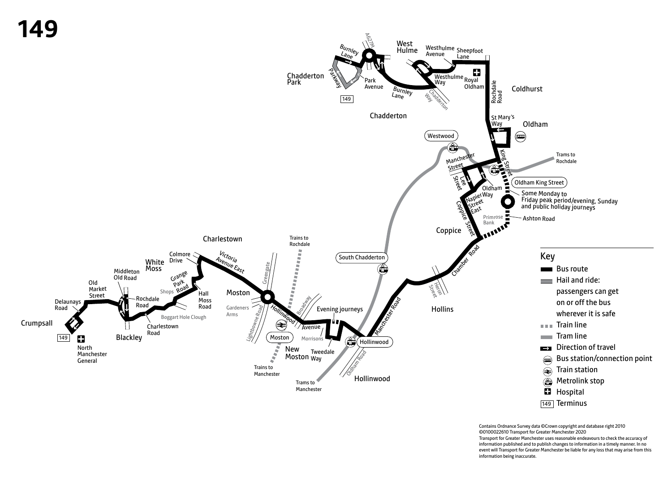

Contains Ordnance Survey data ©Crown copyright and database right 2010 ©0100022610 Transport for Greater Manchester 2020 Transport for Greater Manchester uses reasonable endeavours to check the accuracy of information published and to publish changes to information in a timely manner. In no event will Transport for Greater Manchester be liable for any loss that may arise from this information being inaccurate.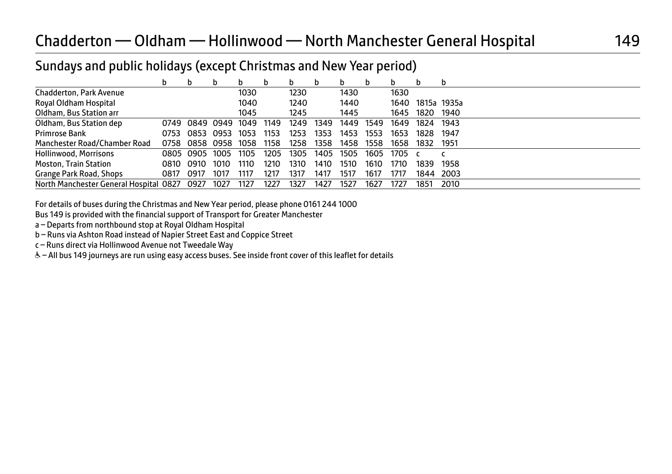## Sundays and public holidays (except Christmas and New Year period)

|                                        |      | b         |           | b    | b    | D    | D    |      | b    |      |      |                  |
|----------------------------------------|------|-----------|-----------|------|------|------|------|------|------|------|------|------------------|
| Chadderton, Park Avenue                |      |           |           | 1030 |      | 1230 |      | 1430 |      | 1630 |      |                  |
| Royal Oldham Hospital                  |      |           |           | 1040 |      | 1240 |      | 1440 |      |      |      | 1640 1815a 1935a |
| Oldham, Bus Station arr                |      |           |           | 1045 |      | 1245 |      | 1445 |      | 1645 | 1820 | 1940             |
| Oldham, Bus Station dep                | 0749 |           | 0849 0949 | 1049 | 1149 | 1249 | 1349 | 1449 | 1549 | 1649 | 1824 | 1943             |
| Primrose Bank                          | 0753 | 0853 0953 |           | 1053 | 1153 | 1253 | 1353 | 1453 | 1553 | 1653 | 1828 | 1947             |
| Manchester Road/Chamber Road           | 0758 | 0858      | 0958      | 1058 | 1158 | 1258 | 1358 | 1458 | 1558 | 1658 | 1832 | 1951             |
| Hollinwood, Morrisons                  |      | 0805 0905 | 1005      | 1105 | 1205 | 1305 | 1405 | 1505 | 1605 | 1705 |      |                  |
| <b>Moston, Train Station</b>           | 0810 | 0910      | 1010      | 1110 | 1210 | 1310 | 1410 | 1510 | 1610 | 1710 | 1839 | 1958             |
| Grange Park Road, Shops                | 0817 | 0917      | 1017      | 1117 | 1217 | 1317 | 1417 | 1517 | 1617 | 1717 | 1844 | 2003             |
| North Manchester General Hospital 0827 |      | 0927      | 1027      | 1127 | 1227 | 1327 | 1427 | 1527 | 1627 | 1727 | 1851 | 2010             |

For details of buses during the Christmas and New Year period, please phone 0161 244 1000

Bus 149 is provided with the financial support of Transport for Greater Manchester

a – Departs from northbound stop at Royal Oldham Hospital

b – Runs via Ashton Road instead of Napier Street East and Coppice Street

c – Runs direct via Hollinwood Avenue not Tweedale Way

W– All bus 149 journeys are run using easy access buses. See inside front cover of this leaflet for details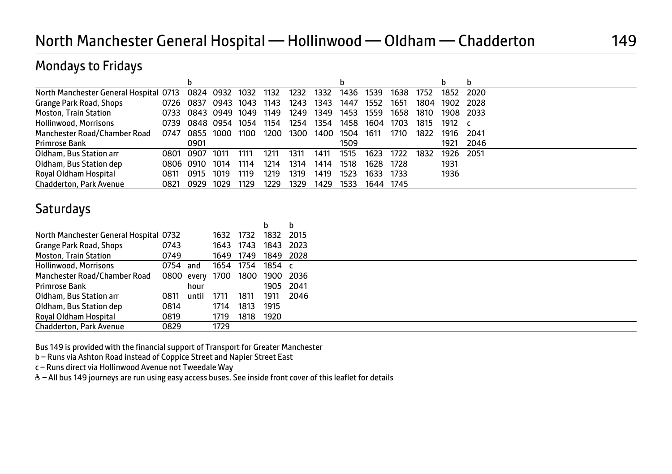# North Manchester General Hospital — Hollinwood — Oldham — Chadderton 149

## Mondays to Fridays

| North Manchester General Hospital 0713 |      |           | 0824 0932 | 1032 | 1132 | 1232 | 1332 | 1436 | 1539 | 1638 | 1752 | 1852 | 2020  |
|----------------------------------------|------|-----------|-----------|------|------|------|------|------|------|------|------|------|-------|
| Grange Park Road, Shops                | 0726 | 0837      | 0943 1043 |      | 1143 | 1243 | 1343 | 1447 | 1552 | 1651 | 1804 | 1902 | 2028  |
| <b>Moston, Train Station</b>           | 0733 |           | 0843 0949 | 1049 | 1149 | 1249 | 1349 | 1453 | 1559 | 1658 | 1810 | 1908 | 2033  |
| Hollinwood, Morrisons                  | 0739 |           | 0848 0954 | 1054 | 1154 | 1254 | 1354 | 1458 | 1604 | 1703 | 1815 | 1912 |       |
| Manchester Road/Chamber Road           |      | 0747 0855 | 1000      | 1100 | 1200 | 1300 | 1400 | 1504 | 1611 | 1710 | 1822 | 1916 | 2041  |
| Primrose Bank                          |      | 0901      |           |      |      |      |      | 1509 |      |      |      | 1921 | 2046  |
| Oldham, Bus Station arr                | 0801 | 0907      | 1011      | 1111 | 1211 | 1311 | 1411 | 1515 | 1623 | 1722 | 1832 | 1926 | -2051 |
| Oldham, Bus Station dep                |      | 0806 0910 | 1014      | 1114 | 1214 | 1314 | 1414 | 1518 | 1628 | 1728 |      | 1931 |       |
| Royal Oldham Hospital                  | 0811 | 0915      | 1019      | 1119 | 1219 | 1319 | 1419 | 1523 | 1633 | 1733 |      | 1936 |       |
| <b>Chadderton, Park Avenue</b>         | 0821 | 0929      | 1029      | 1129 | 1229 | 1329 | 1429 | 1533 | 1644 | 1745 |      |      |       |

#### **Saturdays**

| North Manchester General Hospital 0732 |          |            | 1632 | 1732      | 1832   | 2015      |  |
|----------------------------------------|----------|------------|------|-----------|--------|-----------|--|
| Grange Park Road, Shops                | 0743     |            |      | 1643 1743 | 1843   | 2023      |  |
| <b>Moston, Train Station</b>           | 0749     |            |      | 1649 1749 |        | 1849 2028 |  |
| Hollinwood, Morrisons                  | 0754 and |            |      | 1654 1754 | 1854 c |           |  |
| Manchester Road/Chamber Road           |          | 0800 every | 1700 | 1800      |        | 1900 2036 |  |
| Primrose Bank                          |          | hour       |      |           |        | 1905 2041 |  |
| Oldham, Bus Station arr                | 0811     | until      | 1711 | 1811      | 1911   | 2046      |  |
| Oldham, Bus Station dep                | 0814     |            | 1714 | 1813      | 1915   |           |  |
| Royal Oldham Hospital                  | 0819     |            | 1719 | 1818      | 1920   |           |  |
| Chadderton, Park Avenue                | 0829     |            | 1729 |           |        |           |  |
|                                        |          |            |      |           |        |           |  |

Bus 149 is provided with the financial support of Transport for Greater Manchester

b – Runs via Ashton Road instead of Coppice Street and Napier Street East

c – Runs direct via Hollinwood Avenue not Tweedale Way

& - All bus 149 journeys are run using easy access buses. See inside front cover of this leaflet for details